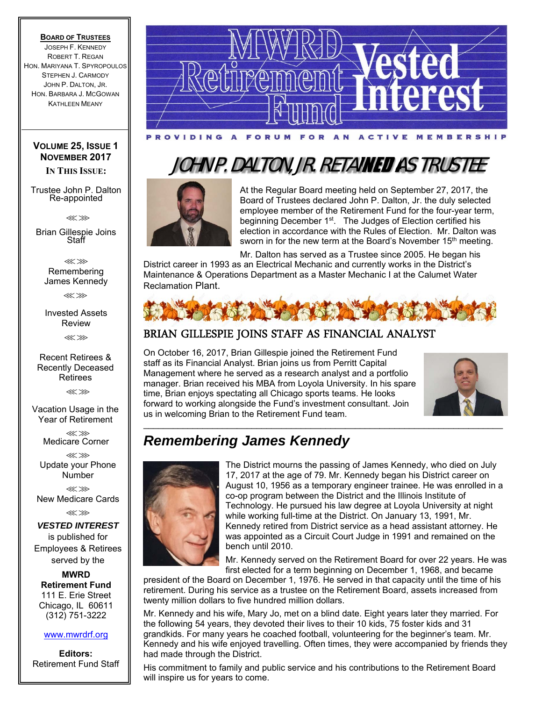### **BOARD OF TRUSTEES**

JOSEPH F. KENNEDY ROBERT T. REGAN HON. MARIYANA T. SPYROPOULOS STEPHEN J. CARMODY JOHN P. DALTON, JR. HON. BARBARA J. MCGOWAN KATHLEEN MEANY

### **VOLUME 25, ISSUE 1 NOVEMBER 2017**

**IN THIS ISSUE:** 

Trustee John P. Dalton Re-appointed

⋘⋙

Brian Gillespie Joins Staff

⋘⋙ Remembering James Kennedy

⋘⋙

Invested Assets Review ⋘⋙

Recent Retirees & Recently Deceased Retirees

⋘⋙

Vacation Usage in the Year of Retirement

> ⋘⋙ Medicare Corner

⋘⋙ Update your Phone Number

⋘⋙ New Medicare Cards

⋘⋙

*VESTED INTEREST* is published for Employees & Retirees served by the

**MWRD Retirement Fund**  111 E. Erie Street Chicago, IL 60611 (312) 751-3222

### www.mwrdrf.org

**Editors:**  Retirement Fund Staff



## JOHN P. DALTON, JR. RETAINED AS TRUSTEE



At the Regular Board meeting held on September 27, 2017, the Board of Trustees declared John P. Dalton, Jr. the duly selected employee member of the Retirement Fund for the four-year term, beginning December 1<sup>st</sup>. The Judges of Election certified his election in accordance with the Rules of Election. Mr. Dalton was sworn in for the new term at the Board's November 15<sup>th</sup> meeting.

Mr. Dalton has served as a Trustee since 2005. He began his District career in 1993 as an Electrical Mechanic and currently works in the District's Maintenance & Operations Department as a Master Mechanic I at the Calumet Water Reclamation Plant.



 $\mathcal{L}_\text{max}$  , and the set of the set of the set of the set of the set of the set of the set of the set of the set of the set of the set of the set of the set of the set of the set of the set of the set of the set of the

### BRIAN GILLESPIE JOINS STAFF AS FINANCIAL ANALYST

On October 16, 2017, Brian Gillespie joined the Retirement Fund staff as its Financial Analyst. Brian joins us from Perritt Capital Management where he served as a research analyst and a portfolio manager. Brian received his MBA from Loyola University. In his spare time, Brian enjoys spectating all Chicago sports teams. He looks forward to working alongside the Fund's investment consultant. Join us in welcoming Brian to the Retirement Fund team.



## *Remembering James Kennedy*



The District mourns the passing of James Kennedy, who died on July 17, 2017 at the age of 79. Mr. Kennedy began his District career on August 10, 1956 as a temporary engineer trainee. He was enrolled in a co-op program between the District and the Illinois Institute of Technology. He pursued his law degree at Loyola University at night while working full-time at the District. On January 13, 1991, Mr. Kennedy retired from District service as a head assistant attorney. He was appointed as a Circuit Court Judge in 1991 and remained on the bench until 2010.

Mr. Kennedy served on the Retirement Board for over 22 years. He was first elected for a term beginning on December 1, 1968, and became

president of the Board on December 1, 1976. He served in that capacity until the time of his retirement. During his service as a trustee on the Retirement Board, assets increased from twenty million dollars to five hundred million dollars.

Mr. Kennedy and his wife, Mary Jo, met on a blind date. Eight years later they married. For the following 54 years, they devoted their lives to their 10 kids, 75 foster kids and 31 grandkids. For many years he coached football, volunteering for the beginner's team. Mr. Kennedy and his wife enjoyed travelling. Often times, they were accompanied by friends they had made through the District.

His commitment to family and public service and his contributions to the Retirement Board will inspire us for years to come.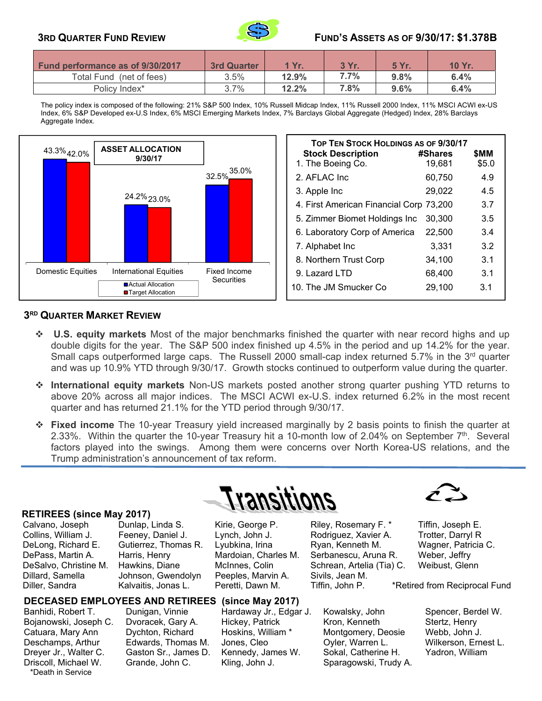

### **3RD QUARTER FUND REVIEW FUND'S ASSETS AS OF 9/30/17: \$1.378B**

| <b>Fund performance as of 9/30/2017</b> | <b>3rd Quarter</b> | 1 Yr. | 3 Yr. | 5 Yr.   | 10 Yr. |
|-----------------------------------------|--------------------|-------|-------|---------|--------|
| Total Fund (net of fees)                | 3.5%               | 12.9% | 7.7%  | 9.8%    | 6.4%   |
| Policy Index*                           | 3.7%               | 12.2% | 7.8%  | $9.6\%$ | 6.4%   |

 The policy index is composed of the following: 21% S&P 500 Index, 10% Russell Midcap Index, 11% Russell 2000 Index, 11% MSCI ACWI ex-US Index, 6% S&P Developed ex-U.S Index, 6% MSCI Emerging Markets Index, 7% Barclays Global Aggregate (Hedged) Index, 28% Barclays Aggregate Index.



| <b>TOP TEN STOCK HOLDINGS AS OF 9/30/17</b> |         |       |  |  |  |
|---------------------------------------------|---------|-------|--|--|--|
| <b>Stock Description</b>                    | #Shares | SMM   |  |  |  |
| 1. The Boeing Co.                           | 19,681  | \$5.0 |  |  |  |
| 2. AFLAC Inc.                               | 60,750  | 4.9   |  |  |  |
| 3. Apple Inc                                | 29.022  | 4.5   |  |  |  |
| 4. First American Financial Corp 73,200     |         | 3.7   |  |  |  |
| 5. Zimmer Biomet Holdings Inc               | 30,300  | 3.5   |  |  |  |
| 6. Laboratory Corp of America               | 22,500  | 3.4   |  |  |  |
| 7. Alphabet Inc                             | 3,331   | 3.2   |  |  |  |
| 8. Northern Trust Corp                      | 34,100  | 3.1   |  |  |  |
| 9. Lazard LTD                               | 68,400  | 3.1   |  |  |  |
| 10. The JM Smucker Co                       | 29,100  | 3.1   |  |  |  |

### **3RD QUARTER MARKET REVIEW**

- **U.S. equity markets** Most of the major benchmarks finished the quarter with near record highs and up double digits for the year. The S&P 500 index finished up 4.5% in the period and up 14.2% for the year. Small caps outperformed large caps. The Russell 2000 small-cap index returned 5.7% in the 3<sup>rd</sup> quarter and was up 10.9% YTD through 9/30/17. Growth stocks continued to outperform value during the quarter.
- **International equity markets** Non-US markets posted another strong quarter pushing YTD returns to above 20% across all major indices. The MSCI ACWI ex-U.S. index returned 6.2% in the most recent quarter and has returned 21.1% for the YTD period through 9/30/17.
- **Fixed income** The 10-year Treasury yield increased marginally by 2 basis points to finish the quarter at 2.33%. Within the quarter the 10-year Treasury hit a 10-month low of 2.04% on September  $7<sup>th</sup>$ . Several factors played into the swings. Among them were concerns over North Korea-US relations, and the Trump administration's announcement of tax reform.

### **RETIREES (since May 2017)**

\*Death in Service

Dillard, Samella Johnson, Gwendolyn Peeples, Marvin A. Sivils, Jean M.

# i ransitions

Calvano, Joseph Dunlap, Linda S. Kirie, George P. Riley, Rosemary F. \* Tiffin, Joseph E. Collins, William J. Feeney, Daniel J. Lynch, John J. Rodriguez, Xavier A. Trotter, Darryl R DeLong, Richard E. Gutierrez, Thomas R. Lyubkina, Irina Ryan, Kenneth M. Wagner, Patricia C.<br>DePass, Martin A. Harris, Henry Mardoian, Charles M. Serbanescu, Aruna R. Weber, Jeffry Harris, Henry **Mardoian, Charles M.** Serbanescu, Aruna R. Weber, Jeffry DeSalvo, Christine M. Hawkins, Diane McInnes, Colin Schrean, Artelia (Tia) C. Weibust, Glenn

Banhidi, Robert T. **Dunigan, Vinnie** Hardaway Jr., Edgar J. Kowalsky, John Spencer, Berdel W. Bojanowski, Joseph C. Dvoracek, Gary A. Hickey, Patrick Kron, Kenneth Stertz, Henry<br>Catuara, Mary Ann Dychton, Richard Hoskins, William \* Montgomery, Deosie Webb, John J Catuara, Mary Ann Dychton, Richard Hoskins, William \* Montgomery, Deosie Webb, John J. Deschamps, Arthur Edwards, Thomas M. Jones, Cleo Oyler, Warren L. Wilkerson, Ernest L. Dreyer Jr., Walter C. Gaston Sr., James D. Kennedy, James W. Sokal, Catherine H. Yadron, William<br>Driscoll, Michael W. Grande, John C. Kling, John J. Sparagowski, Trudy A. Grande, John C. Kling, John J. Sparagowski, Trudy A.



Diller, Sandra Kalvaitis, Jonas L. Peretti, Dawn M. Tiffin, John P. \*Retired from Reciprocal Fund

**DECEASED EMPLOYEES AND RETIREES (since May 2017)**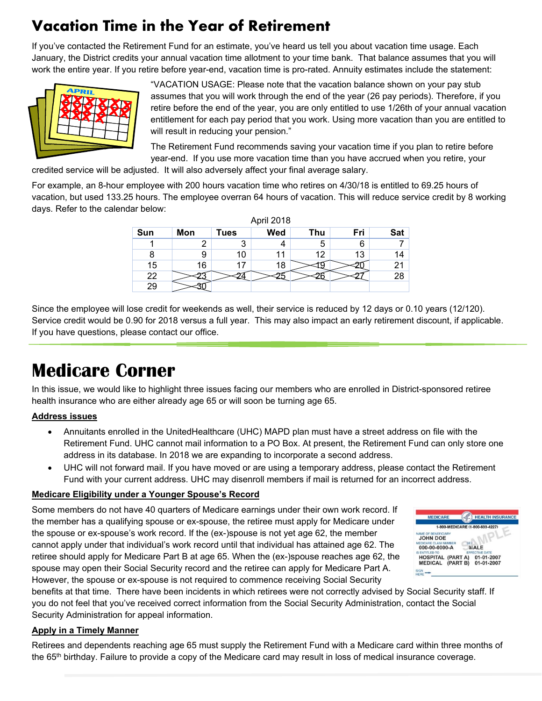## **Vacation Time in the Year of Retirement**

If you've contacted the Retirement Fund for an estimate, you've heard us tell you about vacation time usage. Each January, the District credits your annual vacation time allotment to your time bank. That balance assumes that you will work the entire year. If you retire before year-end, vacation time is pro-rated. Annuity estimates include the statement:



"VACATION USAGE: Please note that the vacation balance shown on your pay stub assumes that you will work through the end of the year (26 pay periods). Therefore, if you retire before the end of the year, you are only entitled to use 1/26th of your annual vacation entitlement for each pay period that you work. Using more vacation than you are entitled to will result in reducing your pension."

The Retirement Fund recommends saving your vacation time if you plan to retire before year-end. If you use more vacation time than you have accrued when you retire, your

credited service will be adjusted. It will also adversely affect your final average salary.

For example, an 8-hour employee with 200 hours vacation time who retires on 4/30/18 is entitled to 69.25 hours of vacation, but used 133.25 hours. The employee overran 64 hours of vacation. This will reduce service credit by 8 working days. Refer to the calendar below:

| April 2018 |     |      |     |     |     |     |  |  |  |
|------------|-----|------|-----|-----|-----|-----|--|--|--|
| Sun        | Mon | Tues | Wed | Thu | Fri | Sat |  |  |  |
|            |     | 3    |     | 5   | 6   |     |  |  |  |
|            | 9   | 10   | 11  | 12  | 13  | 14  |  |  |  |
| 15         | 16  | 17   | 18  |     |     | 21  |  |  |  |
| 22         |     |      |     |     |     | 28  |  |  |  |
| 29         |     |      |     |     |     |     |  |  |  |

Since the employee will lose credit for weekends as well, their service is reduced by 12 days or 0.10 years (12/120). Service credit would be 0.90 for 2018 versus a full year. This may also impact an early retirement discount, if applicable. If you have questions, please contact our office.

## **Medicare Corner**

In this issue, we would like to highlight three issues facing our members who are enrolled in District-sponsored retiree health insurance who are either already age 65 or will soon be turning age 65.

### **Address issues**

- Annuitants enrolled in the UnitedHealthcare (UHC) MAPD plan must have a street address on file with the Retirement Fund. UHC cannot mail information to a PO Box. At present, the Retirement Fund can only store one address in its database. In 2018 we are expanding to incorporate a second address.
- UHC will not forward mail. If you have moved or are using a temporary address, please contact the Retirement Fund with your current address. UHC may disenroll members if mail is returned for an incorrect address.

### **Medicare Eligibility under a Younger Spouse's Record**

Some members do not have 40 quarters of Medicare earnings under their own work record. If the member has a qualifying spouse or ex-spouse, the retiree must apply for Medicare under the spouse or ex-spouse's work record. If the (ex-)spouse is not yet age 62, the member cannot apply under that individual's work record until that individual has attained age 62. The retiree should apply for Medicare Part B at age 65. When the (ex-)spouse reaches age 62, the spouse may open their Social Security record and the retiree can apply for Medicare Part A. However, the spouse or ex-spouse is not required to commence receiving Social Security



benefits at that time. There have been incidents in which retirees were not correctly advised by Social Security staff. If you do not feel that you've received correct information from the Social Security Administration, contact the Social Security Administration for appeal information.

### **Apply in a Timely Manner**

Retirees and dependents reaching age 65 must supply the Retirement Fund with a Medicare card within three months of the 65<sup>th</sup> birthday. Failure to provide a copy of the Medicare card may result in loss of medical insurance coverage.